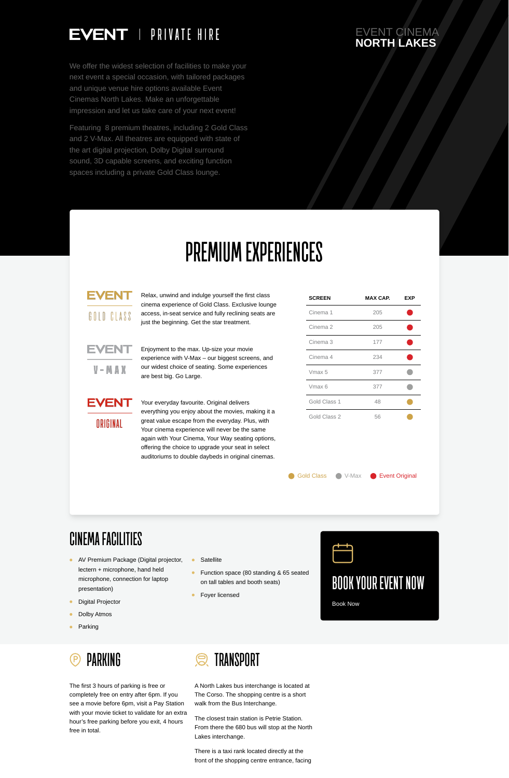

The first 3 hours of parking is free or completely free on entry after 6pm. If you see a movie before 6pm, visit a Pay Station with your movie ticket to validate for an extra hour's free parking before you exit, 4 hours free in total.

## **TRANSPORT**

A North Lakes bus interchange is located at The Corso. The shopping centre is a short walk from the Bus Interchange.

The closest train station is Petrie Station. From there the 680 bus will stop at the North Lakes interchange.

There is a taxi rank located directly at the front of the shopping centre entrance, facing

#### EVENT CINEMA **NORTH LAKES**



We offer the widest selection of facilities to make your next event a special occasion, with tailored packages and unique venue hire options available Event Cinemas North Lakes. Make an unforgettable impression and let us take care of your next event!

Featuring 8 premium theatres, including 2 Gold Class and 2 V-Max. All theatres are equipped with state of the art digital projection, Dolby Digital surround sound, 3D capable screens, and exciting function spaces including a private Gold Class lounge.

# **PREMIUM EXPERIENCES**

## EVENT

GOLD CLASS

Relax, unwind and indulge yourself the first class cinema experience of Gold Class. Exclusive lounge access, in-seat service and fully reclining seats are just the beginning. Get the star treatment.



Enjoyment to the max. Up-size your movie experience with V-Max – our biggest screens, and our widest choice of seating. Some experiences are best big. Go Large.

### **EVENT**

ORIGINAL

Your everyday favourite. Original delivers everything you enjoy about the movies, making it a great value escape from the everyday. Plus, with Your cinema experience will never be the same again with Your Cinema, Your Way seating options,

offering the choice to upgrade your seat in select auditoriums to double daybeds in original cinemas.

Gold Class C V-Max C Event Original

| <b>SCREEN</b>       | MAX CAP. | <b>EXP</b> |
|---------------------|----------|------------|
| Cinema 1            | 205      |            |
| Cinema <sub>2</sub> | 205      |            |
| Cinema <sub>3</sub> | 177      |            |
| Cinema 4            | 234      |            |
| Vmax 5              | 377      |            |
| Vmax 6              | 377      |            |
| Gold Class 1        | 48       |            |
| Gold Class 2        | 56       |            |

**CINEMA FACILITIES**



- AV Premium Package (Digital projector, lectern + microphone, hand held microphone, connection for laptop presentation)
- Digital Projector  $\bullet$
- Dolby Atmos  $\bullet$
- $\bullet$ Parking
- **Satellite**  $\bullet$
- Function space (80 standing & 65 seated  $\bullet$ on tall tables and booth seats)
- Foyer licensed $\bullet$